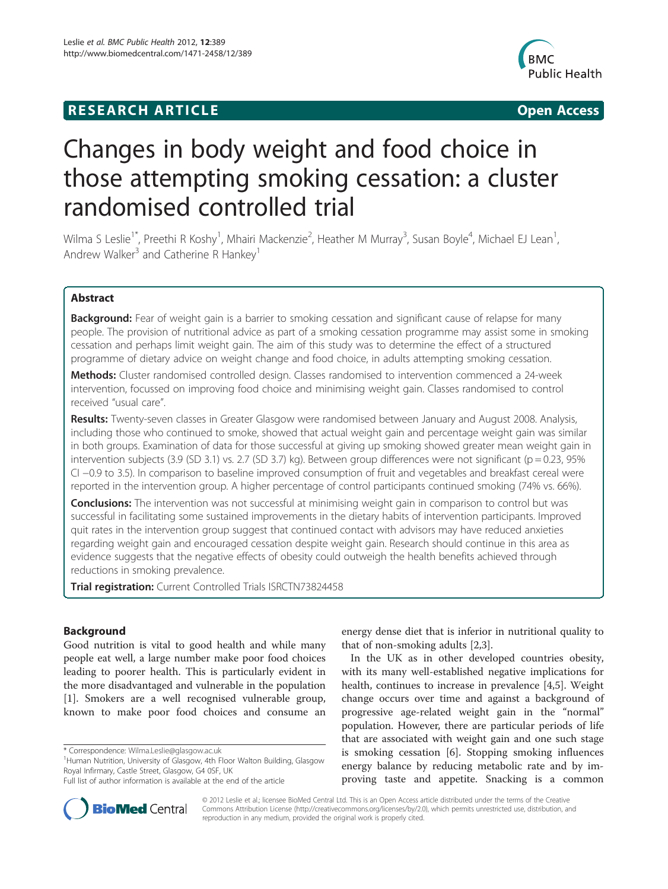# **RESEARCH ARTICLE Example 2014 CONSIDERING CONSIDERING CONSIDERING CONSIDERING CONSIDERING CONSIDERING CONSIDERING CONSIDERING CONSIDERING CONSIDERING CONSIDERING CONSIDERING CONSIDERING CONSIDERING CONSIDERING CONSIDE**



# Changes in body weight and food choice in those attempting smoking cessation: a cluster randomised controlled trial

Wilma S Leslie<sup>1\*</sup>, Preethi R Koshy<sup>1</sup>, Mhairi Mackenzie<sup>2</sup>, Heather M Murray<sup>3</sup>, Susan Boyle<sup>4</sup>, Michael EJ Lean<sup>1</sup> , Andrew Walker<sup>3</sup> and Catherine R Hankey<sup>1</sup>

# Abstract

Background: Fear of weight gain is a barrier to smoking cessation and significant cause of relapse for many people. The provision of nutritional advice as part of a smoking cessation programme may assist some in smoking cessation and perhaps limit weight gain. The aim of this study was to determine the effect of a structured programme of dietary advice on weight change and food choice, in adults attempting smoking cessation.

Methods: Cluster randomised controlled design. Classes randomised to intervention commenced a 24-week intervention, focussed on improving food choice and minimising weight gain. Classes randomised to control received "usual care".

Results: Twenty-seven classes in Greater Glasgow were randomised between January and August 2008. Analysis, including those who continued to smoke, showed that actual weight gain and percentage weight gain was similar in both groups. Examination of data for those successful at giving up smoking showed greater mean weight gain in intervention subjects (3.9 (SD 3.1) vs. 2.7 (SD 3.7) kg). Between group differences were not significant (p = 0.23, 95% CI −0.9 to 3.5). In comparison to baseline improved consumption of fruit and vegetables and breakfast cereal were reported in the intervention group. A higher percentage of control participants continued smoking (74% vs. 66%).

Conclusions: The intervention was not successful at minimising weight gain in comparison to control but was successful in facilitating some sustained improvements in the dietary habits of intervention participants. Improved quit rates in the intervention group suggest that continued contact with advisors may have reduced anxieties regarding weight gain and encouraged cessation despite weight gain. Research should continue in this area as evidence suggests that the negative effects of obesity could outweigh the health benefits achieved through reductions in smoking prevalence.

Trial registration: Current Controlled Trials ISRCTN73824458

# Background

Good nutrition is vital to good health and while many people eat well, a large number make poor food choices leading to poorer health. This is particularly evident in the more disadvantaged and vulnerable in the population [[1\]](#page-9-0). Smokers are a well recognised vulnerable group, known to make poor food choices and consume an

energy dense diet that is inferior in nutritional quality to that of non-smoking adults [\[2](#page-9-0),[3](#page-9-0)].

In the UK as in other developed countries obesity, with its many well-established negative implications for health, continues to increase in prevalence [[4,5\]](#page-9-0). Weight change occurs over time and against a background of progressive age-related weight gain in the "normal" population. However, there are particular periods of life that are associated with weight gain and one such stage is smoking cessation [\[6\]](#page-9-0). Stopping smoking influences energy balance by reducing metabolic rate and by improving taste and appetite. Snacking is a common



© 2012 Leslie et al.; licensee BioMed Central Ltd. This is an Open Access article distributed under the terms of the Creative Commons Attribution License [\(http://creativecommons.org/licenses/by/2.0\)](http://creativecommons.org/licenses/by/2.0), which permits unrestricted use, distribution, and reproduction in any medium, provided the original work is properly cited.

<sup>\*</sup> Correspondence: [Wilma.Leslie@glasgow.ac.uk](mailto:Wilma.Leslie@glasgow.ac.uk) <sup>1</sup>

<sup>&</sup>lt;sup>1</sup> Human Nutrition, University of Glasgow, 4th Floor Walton Building, Glasgow Royal Infirmary, Castle Street, Glasgow, G4 0SF, UK

Full list of author information is available at the end of the article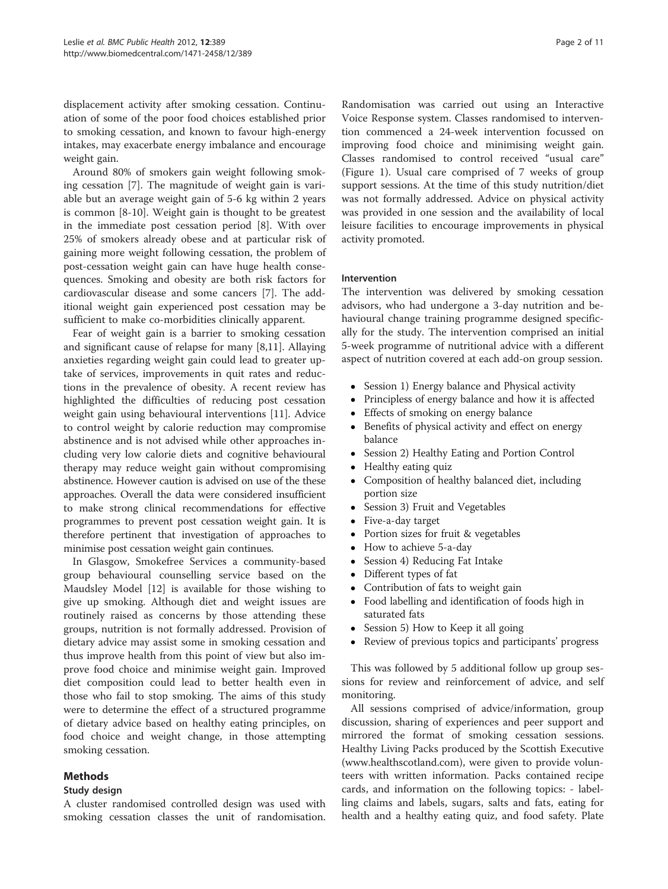displacement activity after smoking cessation. Continuation of some of the poor food choices established prior to smoking cessation, and known to favour high-energy intakes, may exacerbate energy imbalance and encourage weight gain.

Around 80% of smokers gain weight following smoking cessation [\[7](#page-9-0)]. The magnitude of weight gain is variable but an average weight gain of 5-6 kg within 2 years is common [\[8-10](#page-9-0)]. Weight gain is thought to be greatest in the immediate post cessation period [\[8](#page-9-0)]. With over 25% of smokers already obese and at particular risk of gaining more weight following cessation, the problem of post-cessation weight gain can have huge health consequences. Smoking and obesity are both risk factors for cardiovascular disease and some cancers [[7\]](#page-9-0). The additional weight gain experienced post cessation may be sufficient to make co-morbidities clinically apparent.

Fear of weight gain is a barrier to smoking cessation and significant cause of relapse for many [[8,11](#page-9-0)]. Allaying anxieties regarding weight gain could lead to greater uptake of services, improvements in quit rates and reductions in the prevalence of obesity. A recent review has highlighted the difficulties of reducing post cessation weight gain using behavioural interventions [[11\]](#page-9-0). Advice to control weight by calorie reduction may compromise abstinence and is not advised while other approaches including very low calorie diets and cognitive behavioural therapy may reduce weight gain without compromising abstinence. However caution is advised on use of the these approaches. Overall the data were considered insufficient to make strong clinical recommendations for effective programmes to prevent post cessation weight gain. It is therefore pertinent that investigation of approaches to minimise post cessation weight gain continues.

In Glasgow, Smokefree Services a community-based group behavioural counselling service based on the Maudsley Model [[12\]](#page-9-0) is available for those wishing to give up smoking. Although diet and weight issues are routinely raised as concerns by those attending these groups, nutrition is not formally addressed. Provision of dietary advice may assist some in smoking cessation and thus improve health from this point of view but also improve food choice and minimise weight gain. Improved diet composition could lead to better health even in those who fail to stop smoking. The aims of this study were to determine the effect of a structured programme of dietary advice based on healthy eating principles, on food choice and weight change, in those attempting smoking cessation.

# Methods

# Study design

A cluster randomised controlled design was used with smoking cessation classes the unit of randomisation.

Randomisation was carried out using an Interactive Voice Response system. Classes randomised to intervention commenced a 24-week intervention focussed on improving food choice and minimising weight gain. Classes randomised to control received "usual care" (Figure [1](#page-2-0)). Usual care comprised of 7 weeks of group support sessions. At the time of this study nutrition/diet was not formally addressed. Advice on physical activity was provided in one session and the availability of local leisure facilities to encourage improvements in physical activity promoted.

# Intervention

The intervention was delivered by smoking cessation advisors, who had undergone a 3-day nutrition and behavioural change training programme designed specifically for the study. The intervention comprised an initial 5-week programme of nutritional advice with a different aspect of nutrition covered at each add-on group session.

- Session 1) Energy balance and Physical activity
- Principless of energy balance and how it is affected
- Effects of smoking on energy balance
- Benefits of physical activity and effect on energy balance
- Session 2) Healthy Eating and Portion Control
- Healthy eating quiz
- Composition of healthy balanced diet, including portion size
- Session 3) Fruit and Vegetables
- Five-a-day target
- Portion sizes for fruit & vegetables
- How to achieve 5-a-day
- Session 4) Reducing Fat Intake
- Different types of fat
- Contribution of fats to weight gain
- Food labelling and identification of foods high in saturated fats
- Session 5) How to Keep it all going
- Review of previous topics and participants' progress

This was followed by 5 additional follow up group sessions for review and reinforcement of advice, and self monitoring.

All sessions comprised of advice/information, group discussion, sharing of experiences and peer support and mirrored the format of smoking cessation sessions. Healthy Living Packs produced by the Scottish Executive ([www.healthscotland.com\)](http://www.healthscotland.com), were given to provide volunteers with written information. Packs contained recipe cards, and information on the following topics: - labelling claims and labels, sugars, salts and fats, eating for health and a healthy eating quiz, and food safety. Plate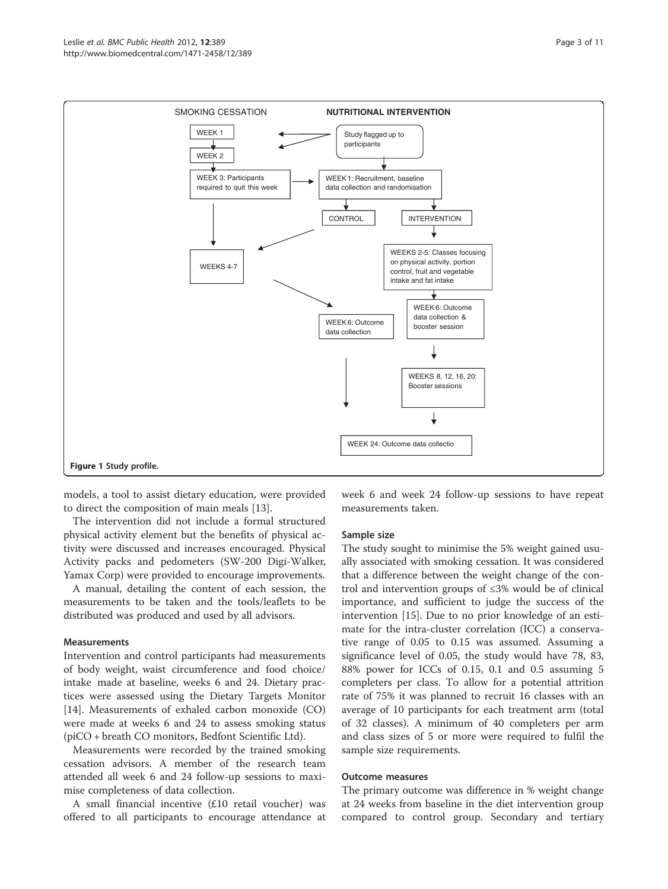<span id="page-2-0"></span>

models, a tool to assist dietary education, were provided to direct the composition of main meals [[13](#page-9-0)].

The intervention did not include a formal structured physical activity element but the benefits of physical activity were discussed and increases encouraged. Physical Activity packs and pedometers (SW-200 Digi-Walker, Yamax Corp) were provided to encourage improvements.

A manual, detailing the content of each session, the measurements to be taken and the tools/leaflets to be distributed was produced and used by all advisors.

#### Measurements

Intervention and control participants had measurements of body weight, waist circumference and food choice/ intake made at baseline, weeks 6 and 24. Dietary practices were assessed using the Dietary Targets Monitor [[14\]](#page-9-0). Measurements of exhaled carbon monoxide (CO) were made at weeks 6 and 24 to assess smoking status (piCO + breath CO monitors, Bedfont Scientific Ltd).

Measurements were recorded by the trained smoking cessation advisors. A member of the research team attended all week 6 and 24 follow-up sessions to maximise completeness of data collection.

A small financial incentive (£10 retail voucher) was offered to all participants to encourage attendance at week 6 and week 24 follow-up sessions to have repeat measurements taken.

#### Sample size

The study sought to minimise the 5% weight gained usually associated with smoking cessation. It was considered that a difference between the weight change of the control and intervention groups of ≤3% would be of clinical importance, and sufficient to judge the success of the intervention [\[15](#page-10-0)]. Due to no prior knowledge of an estimate for the intra-cluster correlation (ICC) a conservative range of 0.05 to 0.15 was assumed. Assuming a significance level of 0.05, the study would have 78, 83, 88% power for ICCs of 0.15, 0.1 and 0.5 assuming 5 completers per class. To allow for a potential attrition rate of 75% it was planned to recruit 16 classes with an average of 10 participants for each treatment arm (total of 32 classes). A minimum of 40 completers per arm and class sizes of 5 or more were required to fulfil the sample size requirements.

#### Outcome measures

The primary outcome was difference in % weight change at 24 weeks from baseline in the diet intervention group compared to control group. Secondary and tertiary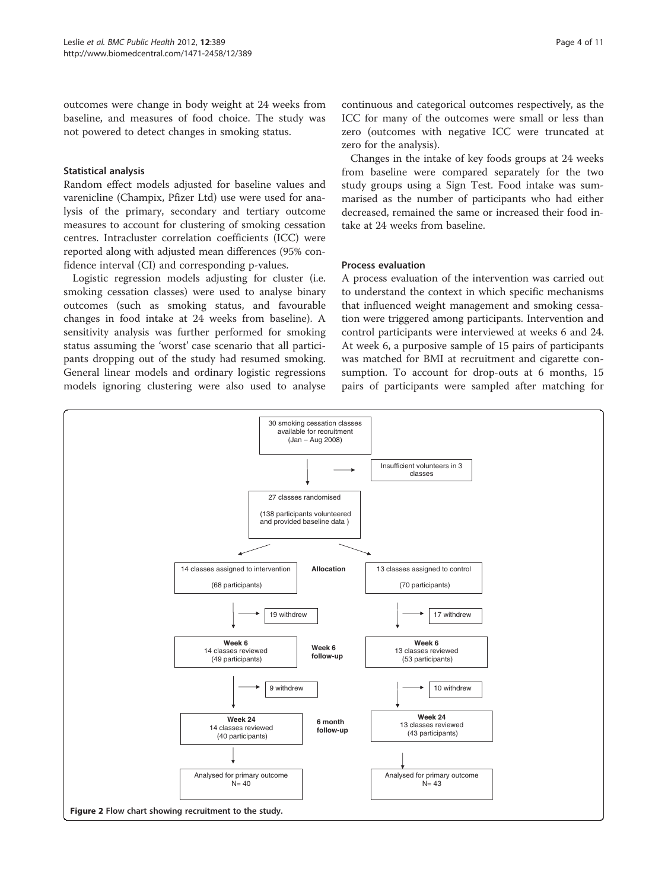<span id="page-3-0"></span>outcomes were change in body weight at 24 weeks from baseline, and measures of food choice. The study was not powered to detect changes in smoking status.

#### Statistical analysis

Random effect models adjusted for baseline values and varenicline (Champix, Pfizer Ltd) use were used for analysis of the primary, secondary and tertiary outcome measures to account for clustering of smoking cessation centres. Intracluster correlation coefficients (ICC) were reported along with adjusted mean differences (95% confidence interval (CI) and corresponding p-values.

Logistic regression models adjusting for cluster (i.e. smoking cessation classes) were used to analyse binary outcomes (such as smoking status, and favourable changes in food intake at 24 weeks from baseline). A sensitivity analysis was further performed for smoking status assuming the 'worst' case scenario that all participants dropping out of the study had resumed smoking. General linear models and ordinary logistic regressions models ignoring clustering were also used to analyse

continuous and categorical outcomes respectively, as the ICC for many of the outcomes were small or less than zero (outcomes with negative ICC were truncated at zero for the analysis).

Changes in the intake of key foods groups at 24 weeks from baseline were compared separately for the two study groups using a Sign Test. Food intake was summarised as the number of participants who had either decreased, remained the same or increased their food intake at 24 weeks from baseline.

#### Process evaluation

A process evaluation of the intervention was carried out to understand the context in which specific mechanisms that influenced weight management and smoking cessation were triggered among participants. Intervention and control participants were interviewed at weeks 6 and 24. At week 6, a purposive sample of 15 pairs of participants was matched for BMI at recruitment and cigarette consumption. To account for drop-outs at 6 months, 15 pairs of participants were sampled after matching for

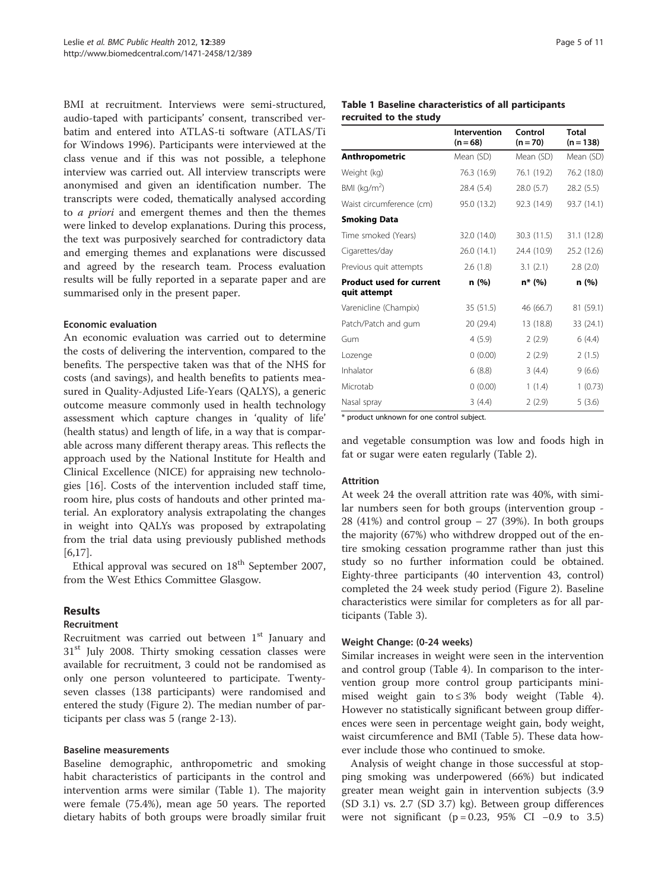BMI at recruitment. Interviews were semi-structured, audio-taped with participants' consent, transcribed verbatim and entered into ATLAS-ti software (ATLAS/Ti for Windows 1996). Participants were interviewed at the class venue and if this was not possible, a telephone interview was carried out. All interview transcripts were anonymised and given an identification number. The transcripts were coded, thematically analysed according to a priori and emergent themes and then the themes were linked to develop explanations. During this process, the text was purposively searched for contradictory data and emerging themes and explanations were discussed and agreed by the research team. Process evaluation results will be fully reported in a separate paper and are summarised only in the present paper.

#### Economic evaluation

An economic evaluation was carried out to determine the costs of delivering the intervention, compared to the benefits. The perspective taken was that of the NHS for costs (and savings), and health benefits to patients measured in Quality-Adjusted Life-Years (QALYS), a generic outcome measure commonly used in health technology assessment which capture changes in 'quality of life' (health status) and length of life, in a way that is comparable across many different therapy areas. This reflects the approach used by the National Institute for Health and Clinical Excellence (NICE) for appraising new technologies [[16](#page-10-0)]. Costs of the intervention included staff time, room hire, plus costs of handouts and other printed material. An exploratory analysis extrapolating the changes in weight into QALYs was proposed by extrapolating from the trial data using previously published methods [[6,](#page-9-0)[17\]](#page-10-0).

Ethical approval was secured on 18<sup>th</sup> September 2007, from the West Ethics Committee Glasgow.

# Results

# Recruitment

Recruitment was carried out between  $1<sup>st</sup>$  January and 31<sup>st</sup> July 2008. Thirty smoking cessation classes were available for recruitment, 3 could not be randomised as only one person volunteered to participate. Twentyseven classes (138 participants) were randomised and entered the study (Figure [2\)](#page-3-0). The median number of participants per class was 5 (range 2-13).

# Baseline measurements

Baseline demographic, anthropometric and smoking habit characteristics of participants in the control and intervention arms were similar (Table 1). The majority were female (75.4%), mean age 50 years. The reported dietary habits of both groups were broadly similar fruit

#### Table 1 Baseline characteristics of all participants recruited to the study

|                                                 | Intervention<br>$(n = 68)$ | Control<br>$(n = 70)$ | Total<br>$(n = 138)$ |
|-------------------------------------------------|----------------------------|-----------------------|----------------------|
| Anthropometric                                  | Mean (SD)                  | Mean (SD)             | Mean (SD)            |
| Weight (kg)                                     | 76.3 (16.9)                | 76.1 (19.2)           | 76.2 (18.0)          |
| BMI ( $kg/m2$ )                                 | 28.4 (5.4)                 | 28.0 (5.7)            | 28.2 (5.5)           |
| Waist circumference (cm)                        | 95.0 (13.2)                | 92.3 (14.9)           | 93.7 (14.1)          |
| <b>Smoking Data</b>                             |                            |                       |                      |
| Time smoked (Years)                             | 32.0 (14.0)                | 30.3(11.5)            | 31.1 (12.8)          |
| Cigarettes/day                                  | 26.0 (14.1)                | 24.4 (10.9)           | 25.2 (12.6)          |
| Previous quit attempts                          | 2.6(1.8)                   | 3.1(2.1)              | 2.8(2.0)             |
| <b>Product used for current</b><br>quit attempt | n (%)                      | n* (%)                | n (%)                |
| Varenicline (Champix)                           | 35 (51.5)                  | 46 (66.7)             | 81 (59.1)            |
| Patch/Patch and gum                             | 20 (29.4)                  | 13 (18.8)             | 33 (24.1)            |
| Gum                                             | 4(5.9)                     | 2(2.9)                | 6(4.4)               |
| Lozenge                                         | 0(0.00)                    | 2(2.9)                | 2(1.5)               |
| Inhalator                                       | 6(8.8)                     | 3(4.4)                | 9(6.6)               |
| Microtab                                        | 0(0.00)                    | 1(1.4)                | 1(0.73)              |
| Nasal spray                                     | 3(4.4)                     | 2(2.9)                | 5(3.6)               |

\* product unknown for one control subject.

and vegetable consumption was low and foods high in fat or sugar were eaten regularly (Table [2](#page-5-0)).

### Attrition

At week 24 the overall attrition rate was 40%, with similar numbers seen for both groups (intervention group - 28 (41%) and control group  $-$  27 (39%). In both groups the majority (67%) who withdrew dropped out of the entire smoking cessation programme rather than just this study so no further information could be obtained. Eighty-three participants (40 intervention 43, control) completed the 24 week study period (Figure [2](#page-3-0)). Baseline characteristics were similar for completers as for all participants (Table [3\)](#page-5-0).

#### Weight Change: (0-24 weeks)

Similar increases in weight were seen in the intervention and control group (Table [4\)](#page-5-0). In comparison to the intervention group more control group participants minimised weight gain to  $\leq 3\%$  body weight (Table [4](#page-5-0)). However no statistically significant between group differences were seen in percentage weight gain, body weight, waist circumference and BMI (Table [5\)](#page-6-0). These data however include those who continued to smoke.

Analysis of weight change in those successful at stopping smoking was underpowered (66%) but indicated greater mean weight gain in intervention subjects (3.9 (SD 3.1) vs. 2.7 (SD 3.7) kg). Between group differences were not significant ( $p = 0.23$ , 95% CI -0.9 to 3.5)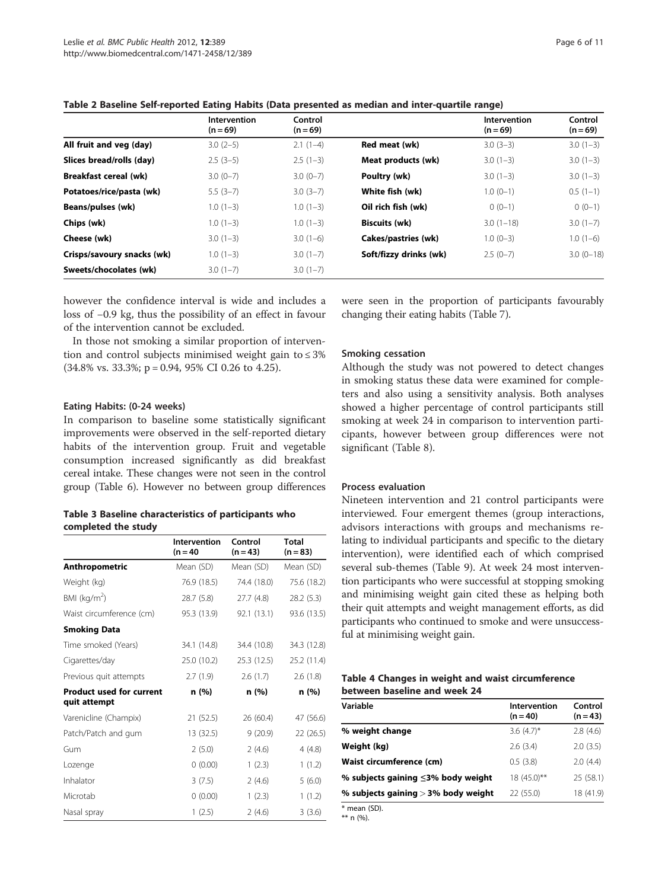|                              | Intervention<br>$(n = 69)$ | Control<br>$(n = 69)$ |                        | Intervention<br>$(n = 69)$ | Control<br>$(n = 69)$ |
|------------------------------|----------------------------|-----------------------|------------------------|----------------------------|-----------------------|
| All fruit and veg (day)      | $3.0(2-5)$                 | $2.1(1-4)$            | Red meat (wk)          | $3.0(3-3)$                 | $3.0(1-3)$            |
| Slices bread/rolls (day)     | $2.5(3-5)$                 | $2.5(1-3)$            | Meat products (wk)     | $3.0(1-3)$                 | $3.0(1-3)$            |
| <b>Breakfast cereal (wk)</b> | $3.0(0-7)$                 | $3.0(0-7)$            | Poultry (wk)           | $3.0(1-3)$                 | $3.0(1-3)$            |
| Potatoes/rice/pasta (wk)     | $5.5(3-7)$                 | $3.0(3-7)$            | White fish (wk)        | $1.0(0-1)$                 | $0.5(1-1)$            |
| Beans/pulses (wk)            | $1.0(1-3)$                 | $1.0(1-3)$            | Oil rich fish (wk)     | $0(0-1)$                   | $0(0-1)$              |
| Chips (wk)                   | $1.0(1-3)$                 | $1.0(1-3)$            | <b>Biscuits (wk)</b>   | $3.0(1-18)$                | $3.0(1-7)$            |
| Cheese (wk)                  | $3.0(1-3)$                 | $3.0(1-6)$            | Cakes/pastries (wk)    | $1.0(0-3)$                 | $1.0(1-6)$            |
| Crisps/savoury snacks (wk)   | $1.0(1-3)$                 | $3.0(1-7)$            | Soft/fizzy drinks (wk) | $2.5(0-7)$                 | $3.0(0-18)$           |
| Sweets/chocolates (wk)       | $3.0(1-7)$                 | $3.0(1-7)$            |                        |                            |                       |

<span id="page-5-0"></span>Table 2 Baseline Self-reported Eating Habits (Data presented as median and inter-quartile range)

however the confidence interval is wide and includes a loss of −0.9 kg, thus the possibility of an effect in favour of the intervention cannot be excluded.

In those not smoking a similar proportion of intervention and control subjects minimised weight gain to  $\leq 3\%$ (34.8% vs. 33.3%; p = 0.94, 95% CI 0.26 to 4.25).

#### Eating Habits: (0-24 weeks)

In comparison to baseline some statistically significant improvements were observed in the self-reported dietary habits of the intervention group. Fruit and vegetable consumption increased significantly as did breakfast cereal intake. These changes were not seen in the control group (Table [6](#page-6-0)). However no between group differences

#### Table 3 Baseline characteristics of participants who completed the study

|                                                 | Intervention<br>$(n = 40)$ | Control<br>$(n = 43)$ | <b>Total</b><br>$(n = 83)$ |
|-------------------------------------------------|----------------------------|-----------------------|----------------------------|
| <b>Anthropometric</b>                           | Mean (SD)                  | Mean (SD)             | Mean (SD)                  |
| Weight (kg)                                     | 76.9 (18.5)                | 74.4 (18.0)           | 75.6 (18.2)                |
| BMI ( $kg/m2$ )                                 | 28.7 (5.8)                 | 27.7(4.8)             | 28.2(5.3)                  |
| Waist circumference (cm)                        | 95.3 (13.9)                | 92.1(13.1)            | 93.6 (13.5)                |
| <b>Smoking Data</b>                             |                            |                       |                            |
| Time smoked (Years)                             | 34.1 (14.8)                | 34.4 (10.8)           | 34.3 (12.8)                |
| Cigarettes/day                                  | 25.0 (10.2)                | 25.3(12.5)            | 25.2 (11.4)                |
| Previous quit attempts                          | 2.7(1.9)                   | 2.6(1.7)              | 2.6(1.8)                   |
| <b>Product used for current</b><br>quit attempt | n (%)                      | n (%)                 | n (%)                      |
| Varenicline (Champix)                           | 21(52.5)                   | 26 (60.4)             | 47 (56.6)                  |
| Patch/Patch and gum                             | 13 (32.5)                  | 9(20.9)               | 22 (26.5)                  |
| Gum                                             | 2(5.0)                     | 2(4.6)                | 4(4.8)                     |
| Lozenge                                         | 0(0.00)                    | 1(2.3)                | 1(1.2)                     |
| Inhalator                                       | 3(7.5)                     | 2(4.6)                | 5(6.0)                     |
| Microtab                                        | 0(0.00)                    | 1(2.3)                | 1(1.2)                     |
| Nasal spray                                     | 1(2.5)                     | 2(4.6)                | 3(3.6)                     |

were seen in the proportion of participants favourably changing their eating habits (Table [7](#page-6-0)).

#### Smoking cessation

Although the study was not powered to detect changes in smoking status these data were examined for completers and also using a sensitivity analysis. Both analyses showed a higher percentage of control participants still smoking at week 24 in comparison to intervention participants, however between group differences were not significant (Table [8\)](#page-7-0).

# Process evaluation

Nineteen intervention and 21 control participants were interviewed. Four emergent themes (group interactions, advisors interactions with groups and mechanisms relating to individual participants and specific to the dietary intervention), were identified each of which comprised several sub-themes (Table [9\)](#page-7-0). At week 24 most intervention participants who were successful at stopping smoking and minimising weight gain cited these as helping both their quit attempts and weight management efforts, as did participants who continued to smoke and were unsuccessful at minimising weight gain.

#### Table 4 Changes in weight and waist circumference between baseline and week 24

| Variable                                 | Intervention<br>$(n = 40)$ | Control<br>$(n = 43)$ |
|------------------------------------------|----------------------------|-----------------------|
| % weight change                          | 3.6 $(4.7)$ *              | 2.8(4.6)              |
| Weight (kg)                              | 2.6(3.4)                   | 2.0(3.5)              |
| Waist circumference (cm)                 | 0.5(3.8)                   | 2.0(4.4)              |
| % subjects gaining $\leq$ 3% body weight | $18(45.0)$ **              | 25(58.1)              |
| % subjects gaining $>$ 3% body weight    | 22 (55.0)                  | 18 (41.9)             |

\* mean (SD). \*\* n (%).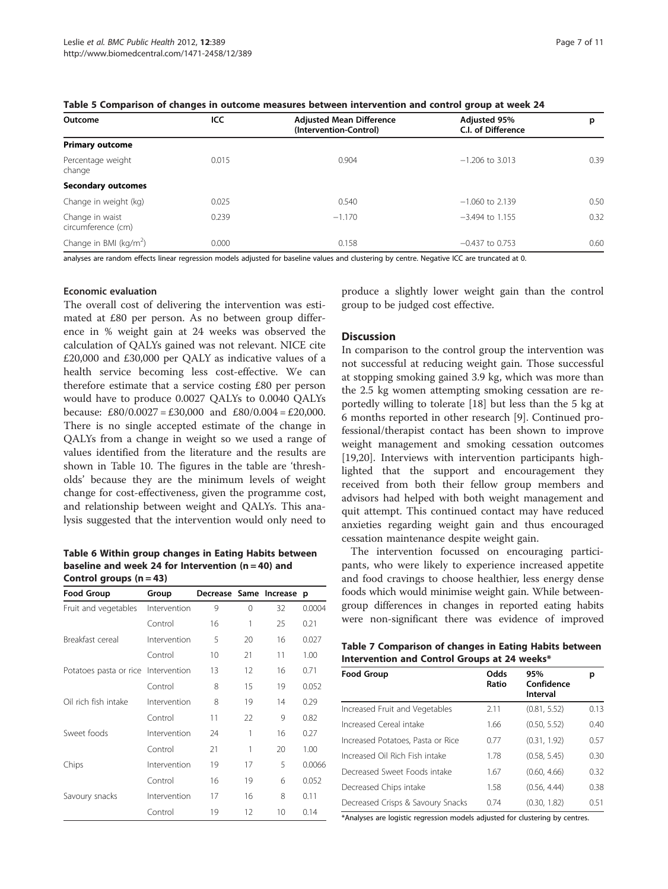<span id="page-6-0"></span>

|  | Table 5 Comparison of changes in outcome measures between intervention and control group at week 24 |
|--|-----------------------------------------------------------------------------------------------------|
|--|-----------------------------------------------------------------------------------------------------|

| Outcome                               | ICC   | <b>Adjusted Mean Difference</b><br>(Intervention-Control) | <b>Adjusted 95%</b><br>C.I. of Difference | р    |
|---------------------------------------|-------|-----------------------------------------------------------|-------------------------------------------|------|
| <b>Primary outcome</b>                |       |                                                           |                                           |      |
| Percentage weight<br>change           | 0.015 | 0.904                                                     | $-1.206$ to 3.013                         | 0.39 |
| <b>Secondary outcomes</b>             |       |                                                           |                                           |      |
| Change in weight (kg)                 | 0.025 | 0.540                                                     | $-1.060$ to 2.139                         | 0.50 |
| Change in waist<br>circumference (cm) | 0.239 | $-1.170$                                                  | $-3.494$ to 1.155                         | 0.32 |
| Change in BMI ( $kg/m2$ )             | 0.000 | 0.158                                                     | $-0.437$ to 0.753                         | 0.60 |

analyses are random effects linear regression models adjusted for baseline values and clustering by centre. Negative ICC are truncated at 0.

#### Economic evaluation

The overall cost of delivering the intervention was estimated at £80 per person. As no between group difference in % weight gain at 24 weeks was observed the calculation of QALYs gained was not relevant. NICE cite £20,000 and £30,000 per QALY as indicative values of a health service becoming less cost-effective. We can therefore estimate that a service costing £80 per person would have to produce 0.0027 QALYs to 0.0040 QALYs because: £80/0.0027 = £30,000 and £80/0.004 = £20,000. There is no single accepted estimate of the change in QALYs from a change in weight so we used a range of values identified from the literature and the results are shown in Table [10](#page-7-0). The figures in the table are 'thresholds' because they are the minimum levels of weight change for cost-effectiveness, given the programme cost, and relationship between weight and QALYs. This analysis suggested that the intervention would only need to

Table 6 Within group changes in Eating Habits between baseline and week 24 for Intervention  $(n = 40)$  and Control groups  $(n = 43)$ 

| <b>Food Group</b>      | Group        | Decrease Same Increase |    |    | p      |
|------------------------|--------------|------------------------|----|----|--------|
| Fruit and vegetables   | Intervention | 9                      | 0  | 32 | 0.0004 |
|                        | Control      | 16                     | 1  | 25 | 0.21   |
| Breakfast cereal       | Intervention | 5                      | 20 | 16 | 0.027  |
|                        | Control      | 10                     | 21 | 11 | 1.00   |
| Potatoes pasta or rice | Intervention | 13                     | 12 | 16 | 0.71   |
|                        | Control      | 8                      | 15 | 19 | 0.052  |
| Oil rich fish intake   | Intervention | 8                      | 19 | 14 | 0.29   |
|                        | Control      | 11                     | 22 | 9  | 0.82   |
| Sweet foods            | Intervention | 24                     | 1  | 16 | 0.27   |
|                        | Control      | 21                     | 1  | 20 | 1.00   |
| Chips                  | Intervention | 19                     | 17 | 5  | 0.0066 |
|                        | Control      | 16                     | 19 | 6  | 0.052  |
| Savoury snacks         | Intervention | 17                     | 16 | 8  | 0.11   |
|                        | Control      | 19                     | 12 | 10 | 0.14   |

produce a slightly lower weight gain than the control group to be judged cost effective.

#### **Discussion**

In comparison to the control group the intervention was not successful at reducing weight gain. Those successful at stopping smoking gained 3.9 kg, which was more than the 2.5 kg women attempting smoking cessation are reportedly willing to tolerate [\[18\]](#page-10-0) but less than the 5 kg at 6 months reported in other research [\[9](#page-9-0)]. Continued professional/therapist contact has been shown to improve weight management and smoking cessation outcomes [[19,20\]](#page-10-0). Interviews with intervention participants highlighted that the support and encouragement they received from both their fellow group members and advisors had helped with both weight management and quit attempt. This continued contact may have reduced anxieties regarding weight gain and thus encouraged cessation maintenance despite weight gain.

The intervention focussed on encouraging participants, who were likely to experience increased appetite and food cravings to choose healthier, less energy dense foods which would minimise weight gain. While betweengroup differences in changes in reported eating habits were non-significant there was evidence of improved

Table 7 Comparison of changes in Eating Habits between Intervention and Control Groups at 24 weeks\*

| Odds<br>Ratio | 95%<br>Confidence<br>Interval | р    |  |
|---------------|-------------------------------|------|--|
| 2.11          | (0.81, 5.52)                  | 0.13 |  |
| 1.66          | (0.50, 5.52)                  | 0.40 |  |
| 0.77          | (0.31, 1.92)                  | 0.57 |  |
| 1.78          | (0.58, 5.45)                  | 0.30 |  |
| 1.67          | (0.60, 4.66)                  | 0.32 |  |
| 1.58          | (0.56, 4.44)                  | 0.38 |  |
| 0.74          | (0.30, 1.82)                  | 0.51 |  |
|               |                               |      |  |

\*Analyses are logistic regression models adjusted for clustering by centres.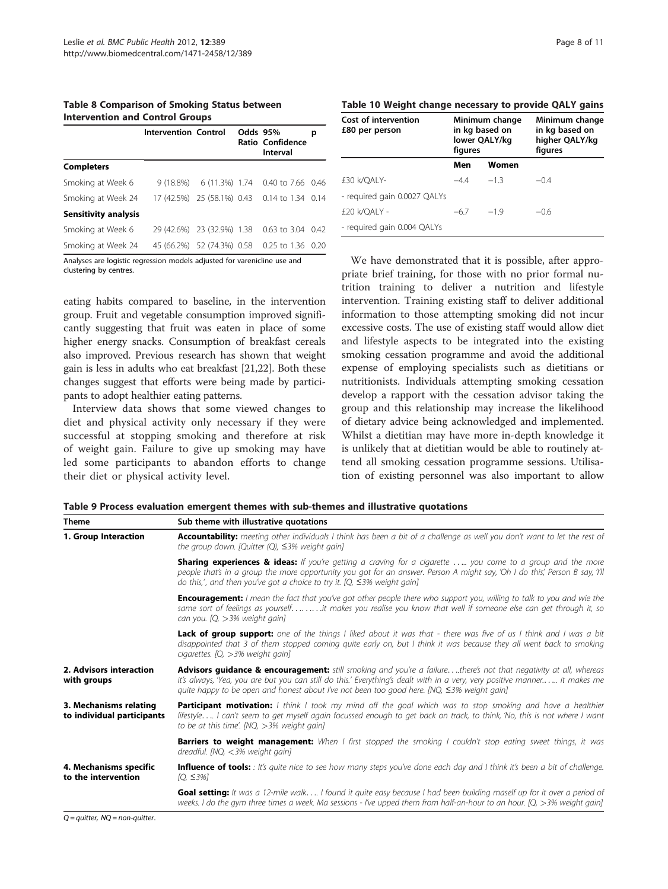<span id="page-7-0"></span>Table 8 Comparison of Smoking Status between Intervention and Control Groups

|                             | <b>Intervention Control</b> |                | Odds 95% | Ratio Confidence<br><b>Interval</b>          | р |
|-----------------------------|-----------------------------|----------------|----------|----------------------------------------------|---|
| <b>Completers</b>           |                             |                |          |                                              |   |
| Smoking at Week 6           | 9 (18.8%)                   | 6 (11.3%) 1.74 |          | $0.40 \text{ to } 7.66$ 0.46                 |   |
| Smoking at Week 24          |                             |                |          | 17 (42.5%) 25 (58.1%) 0.43 0.14 to 1.34 0.14 |   |
| <b>Sensitivity analysis</b> |                             |                |          |                                              |   |
| Smoking at Week 6           | 29 (42.6%) 23 (32.9%) 1.38  |                |          | $0.63$ to $3.04$ 0.42                        |   |
| Smoking at Week 24          | 45 (66.2%) 52 (74.3%) 0.58  |                |          | 0.25 to 1.36 0.20                            |   |

Analyses are logistic regression models adjusted for varenicline use and clustering by centres.

eating habits compared to baseline, in the intervention group. Fruit and vegetable consumption improved significantly suggesting that fruit was eaten in place of some higher energy snacks. Consumption of breakfast cereals also improved. Previous research has shown that weight gain is less in adults who eat breakfast [\[21,22](#page-10-0)]. Both these changes suggest that efforts were being made by participants to adopt healthier eating patterns.

Interview data shows that some viewed changes to diet and physical activity only necessary if they were successful at stopping smoking and therefore at risk of weight gain. Failure to give up smoking may have led some participants to abandon efforts to change their diet or physical activity level.

|  |  |  |  | Table 10 Weight change necessary to provide QALY gains |  |  |  |  |
|--|--|--|--|--------------------------------------------------------|--|--|--|--|
|--|--|--|--|--------------------------------------------------------|--|--|--|--|

| Cost of intervention<br>£80 per person | Minimum change<br>in kg based on<br>lower QALY/kg<br>figures |       | Minimum change<br>in kg based on<br>higher QALY/kg<br>figures |  |
|----------------------------------------|--------------------------------------------------------------|-------|---------------------------------------------------------------|--|
|                                        | Men                                                          | Women |                                                               |  |
| £30 k/QALY-                            | $-44$                                                        | $-13$ | $-0.4$                                                        |  |
| - required gain 0.0027 QALYs           |                                                              |       |                                                               |  |
| £20 k/OALY -                           | $-6.7$                                                       | $-19$ | $-06$                                                         |  |
| - required gain 0.004 QALYs            |                                                              |       |                                                               |  |

We have demonstrated that it is possible, after appropriate brief training, for those with no prior formal nutrition training to deliver a nutrition and lifestyle intervention. Training existing staff to deliver additional information to those attempting smoking did not incur excessive costs. The use of existing staff would allow diet and lifestyle aspects to be integrated into the existing smoking cessation programme and avoid the additional expense of employing specialists such as dietitians or nutritionists. Individuals attempting smoking cessation develop a rapport with the cessation advisor taking the group and this relationship may increase the likelihood of dietary advice being acknowledged and implemented. Whilst a dietitian may have more in-depth knowledge it is unlikely that at dietitian would be able to routinely attend all smoking cessation programme sessions. Utilisation of existing personnel was also important to allow

|  |  |  | Table 9 Process evaluation emergent themes with sub-themes and illustrative quotations |  |  |
|--|--|--|----------------------------------------------------------------------------------------|--|--|
|--|--|--|----------------------------------------------------------------------------------------|--|--|

| <b>Theme</b>                                         | Sub theme with illustrative quotations                                                                                                                                                                                                                                                                                                                         |
|------------------------------------------------------|----------------------------------------------------------------------------------------------------------------------------------------------------------------------------------------------------------------------------------------------------------------------------------------------------------------------------------------------------------------|
| 1. Group Interaction                                 | Accountability: meeting other individuals I think has been a bit of a challenge as well you don't want to let the rest of<br>the group down. [Quitter (Q), $\leq$ 3% weight gain]                                                                                                                                                                              |
|                                                      | <b>Sharing experiences &amp; ideas:</b> If you're getting a craving for a cigarette  you come to a group and the more<br>people that's in a group the more opportunity you got for an answer. Person A might say, 'Oh I do this', Person B say, 'I'll<br>do this,', and then you've got a choice to try it. [Q, $\leq$ 3% weight gain]                         |
|                                                      | <b>Encouragement:</b> I mean the fact that you've got other people there who support you, willing to talk to you and wie the<br>same sort of feelings as yourselfit makes you realise you know that well if someone else can get through it, so<br>can you. $[Q, >3%$ weight gain]                                                                             |
|                                                      | <b>Lack of group support:</b> one of the things I liked about it was that - there was five of us I think and I was a bit<br>disappointed that 3 of them stopped coming quite early on, but I think it was because they all went back to smoking<br>cigarettes. $[Q, >3%$ weight gain]                                                                          |
| 2. Advisors interaction<br>with groups               | <b>Advisors guidance &amp; encouragement:</b> still smoking and you're a failurethere's not that negativity at all, whereas<br>it's always, 'Yea, you are but you can still do this.' Everything's dealt with in a very, very positive manner  it makes me<br>quite happy to be open and honest about I've not been too good here. [NQ, $\leq$ 3% weight gain] |
| 3. Mechanisms relating<br>to individual participants | <b>Participant motivation:</b> I think I took my mind off the goal which was to stop smoking and have a healthier<br>lifestyle I can't seem to get myself again focussed enough to get back on track, to think, 'No, this is not where I want<br>to be at this time'. [NQ, $>$ 3% weight gain]                                                                 |
|                                                      | <b>Barriers to weight management:</b> When I first stopped the smoking I couldn't stop eating sweet things, it was<br>dreadful. [NQ, $\lt$ 3% weight gain]                                                                                                                                                                                                     |
| 4. Mechanisms specific<br>to the intervention        | <b>Influence of tools:</b> It's quite nice to see how many steps you've done each day and I think it's been a bit of challenge.<br>[Q, ≤3%]                                                                                                                                                                                                                    |
|                                                      | Goal setting: It was a 12-mile walk I found it quite easy because I had been building maself up for it over a period of<br>weeks. I do the gym three times a week. Ma sessions - I've upped them from half-an-hour to an hour. [Q, >3% weight gain]                                                                                                            |

 $Q =$  quitter,  $NQ =$  non-quitter.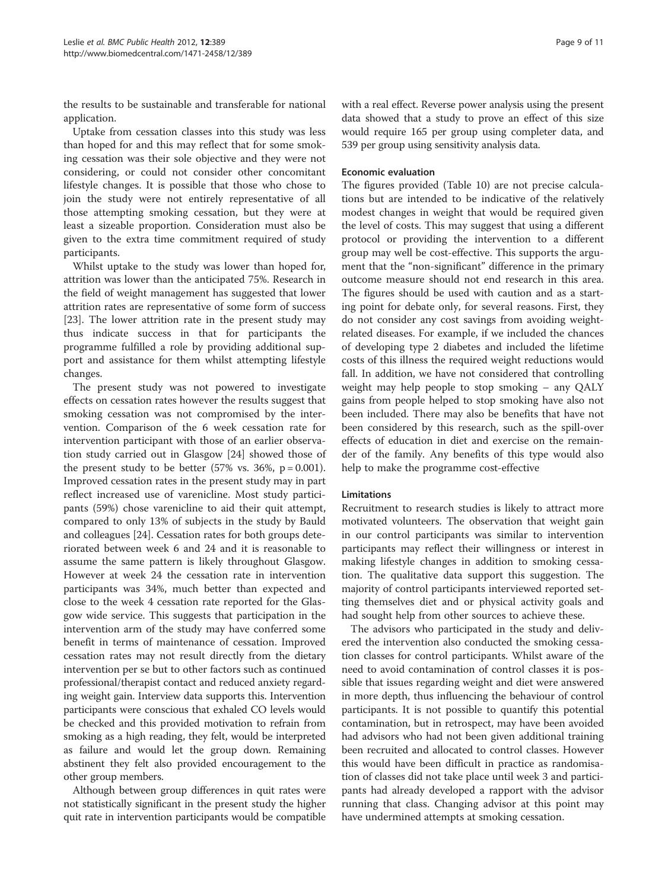the results to be sustainable and transferable for national application.

Uptake from cessation classes into this study was less than hoped for and this may reflect that for some smoking cessation was their sole objective and they were not considering, or could not consider other concomitant lifestyle changes. It is possible that those who chose to join the study were not entirely representative of all those attempting smoking cessation, but they were at least a sizeable proportion. Consideration must also be given to the extra time commitment required of study participants.

Whilst uptake to the study was lower than hoped for, attrition was lower than the anticipated 75%. Research in the field of weight management has suggested that lower attrition rates are representative of some form of success [[23\]](#page-10-0). The lower attrition rate in the present study may thus indicate success in that for participants the programme fulfilled a role by providing additional support and assistance for them whilst attempting lifestyle changes.

The present study was not powered to investigate effects on cessation rates however the results suggest that smoking cessation was not compromised by the intervention. Comparison of the 6 week cessation rate for intervention participant with those of an earlier observation study carried out in Glasgow [[24](#page-10-0)] showed those of the present study to be better  $(57\% \text{ vs. } 36\%, \text{ p} = 0.001)$ . Improved cessation rates in the present study may in part reflect increased use of varenicline. Most study participants (59%) chose varenicline to aid their quit attempt, compared to only 13% of subjects in the study by Bauld and colleagues [[24\]](#page-10-0). Cessation rates for both groups deteriorated between week 6 and 24 and it is reasonable to assume the same pattern is likely throughout Glasgow. However at week 24 the cessation rate in intervention participants was 34%, much better than expected and close to the week 4 cessation rate reported for the Glasgow wide service. This suggests that participation in the intervention arm of the study may have conferred some benefit in terms of maintenance of cessation. Improved cessation rates may not result directly from the dietary intervention per se but to other factors such as continued professional/therapist contact and reduced anxiety regarding weight gain. Interview data supports this. Intervention participants were conscious that exhaled CO levels would be checked and this provided motivation to refrain from smoking as a high reading, they felt, would be interpreted as failure and would let the group down. Remaining abstinent they felt also provided encouragement to the other group members.

Although between group differences in quit rates were not statistically significant in the present study the higher quit rate in intervention participants would be compatible with a real effect. Reverse power analysis using the present data showed that a study to prove an effect of this size would require 165 per group using completer data, and 539 per group using sensitivity analysis data.

#### Economic evaluation

The figures provided (Table [10](#page-7-0)) are not precise calculations but are intended to be indicative of the relatively modest changes in weight that would be required given the level of costs. This may suggest that using a different protocol or providing the intervention to a different group may well be cost-effective. This supports the argument that the "non-significant" difference in the primary outcome measure should not end research in this area. The figures should be used with caution and as a starting point for debate only, for several reasons. First, they do not consider any cost savings from avoiding weightrelated diseases. For example, if we included the chances of developing type 2 diabetes and included the lifetime costs of this illness the required weight reductions would fall. In addition, we have not considered that controlling weight may help people to stop smoking – any QALY gains from people helped to stop smoking have also not been included. There may also be benefits that have not been considered by this research, such as the spill-over effects of education in diet and exercise on the remainder of the family. Any benefits of this type would also help to make the programme cost-effective

#### Limitations

Recruitment to research studies is likely to attract more motivated volunteers. The observation that weight gain in our control participants was similar to intervention participants may reflect their willingness or interest in making lifestyle changes in addition to smoking cessation. The qualitative data support this suggestion. The majority of control participants interviewed reported setting themselves diet and or physical activity goals and had sought help from other sources to achieve these.

The advisors who participated in the study and delivered the intervention also conducted the smoking cessation classes for control participants. Whilst aware of the need to avoid contamination of control classes it is possible that issues regarding weight and diet were answered in more depth, thus influencing the behaviour of control participants. It is not possible to quantify this potential contamination, but in retrospect, may have been avoided had advisors who had not been given additional training been recruited and allocated to control classes. However this would have been difficult in practice as randomisation of classes did not take place until week 3 and participants had already developed a rapport with the advisor running that class. Changing advisor at this point may have undermined attempts at smoking cessation.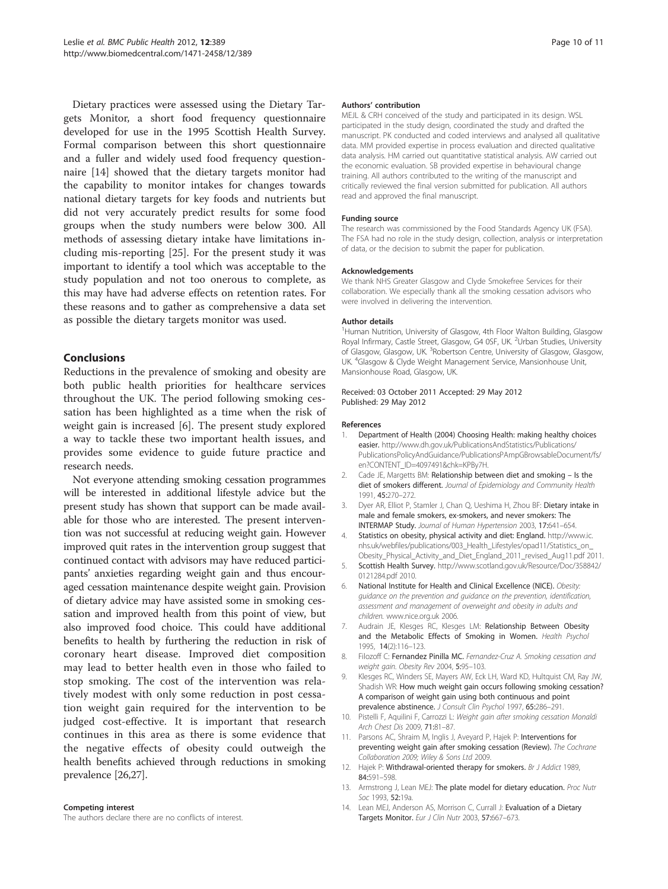<span id="page-9-0"></span>Dietary practices were assessed using the Dietary Targets Monitor, a short food frequency questionnaire developed for use in the 1995 Scottish Health Survey. Formal comparison between this short questionnaire and a fuller and widely used food frequency questionnaire [14] showed that the dietary targets monitor had the capability to monitor intakes for changes towards national dietary targets for key foods and nutrients but did not very accurately predict results for some food groups when the study numbers were below 300. All methods of assessing dietary intake have limitations including mis-reporting [[25](#page-10-0)]. For the present study it was important to identify a tool which was acceptable to the study population and not too onerous to complete, as this may have had adverse effects on retention rates. For these reasons and to gather as comprehensive a data set as possible the dietary targets monitor was used.

# Conclusions

Reductions in the prevalence of smoking and obesity are both public health priorities for healthcare services throughout the UK. The period following smoking cessation has been highlighted as a time when the risk of weight gain is increased [6]. The present study explored a way to tackle these two important health issues, and provides some evidence to guide future practice and research needs.

Not everyone attending smoking cessation programmes will be interested in additional lifestyle advice but the present study has shown that support can be made available for those who are interested. The present intervention was not successful at reducing weight gain. However improved quit rates in the intervention group suggest that continued contact with advisors may have reduced participants' anxieties regarding weight gain and thus encouraged cessation maintenance despite weight gain. Provision of dietary advice may have assisted some in smoking cessation and improved health from this point of view, but also improved food choice. This could have additional benefits to health by furthering the reduction in risk of coronary heart disease. Improved diet composition may lead to better health even in those who failed to stop smoking. The cost of the intervention was relatively modest with only some reduction in post cessation weight gain required for the intervention to be judged cost-effective. It is important that research continues in this area as there is some evidence that the negative effects of obesity could outweigh the health benefits achieved through reductions in smoking prevalence [\[26,27](#page-10-0)].

#### Competing interest

The authors declare there are no conflicts of interest.

#### Authors' contribution

MEJL & CRH conceived of the study and participated in its design. WSL participated in the study design, coordinated the study and drafted the manuscript. PK conducted and coded interviews and analysed all qualitative data. MM provided expertise in process evaluation and directed qualitative data analysis. HM carried out quantitative statistical analysis. AW carried out the economic evaluation. SB provided expertise in behavioural change training. All authors contributed to the writing of the manuscript and critically reviewed the final version submitted for publication. All authors read and approved the final manuscript.

#### Funding source

The research was commissioned by the Food Standards Agency UK (FSA). The FSA had no role in the study design, collection, analysis or interpretation of data, or the decision to submit the paper for publication.

#### Acknowledgements

We thank NHS Greater Glasgow and Clyde Smokefree Services for their collaboration. We especially thank all the smoking cessation advisors who were involved in delivering the intervention.

#### Author details

<sup>1</sup>Human Nutrition, University of Glasgow, 4th Floor Walton Building, Glasgow Royal Infirmary, Castle Street, Glasgow, G4 0SF, UK. <sup>2</sup>Urban Studies, University of Glasgow, Glasgow, UK. <sup>3</sup>Robertson Centre, University of Glasgow, Glasgow, UK. <sup>4</sup> Glasgow & Clyde Weight Management Service, Mansionhouse Unit, Mansionhouse Road, Glasgow, UK.

#### Received: 03 October 2011 Accepted: 29 May 2012 Published: 29 May 2012

#### References

- 1. Department of Health (2004) Choosing Health: making healthy choices easier. [http://www.dh.gov.uk/PublicationsAndStatistics/Publications/](http://www.dh.gov.uk/PublicationsAndStatistics/Publications/PublicationsPolicyAndGuidance/PublicationsPAmpGBrowsableDocument/fs/en?CONTENT_ID=4097491&chk=KPBy7H) [PublicationsPolicyAndGuidance/PublicationsPAmpGBrowsableDocument/fs/](http://www.dh.gov.uk/PublicationsAndStatistics/Publications/PublicationsPolicyAndGuidance/PublicationsPAmpGBrowsableDocument/fs/en?CONTENT_ID=4097491&chk=KPBy7H) [en?CONTENT\\_ID=4097491&chk=KPBy7H.](http://www.dh.gov.uk/PublicationsAndStatistics/Publications/PublicationsPolicyAndGuidance/PublicationsPAmpGBrowsableDocument/fs/en?CONTENT_ID=4097491&chk=KPBy7H)
- 2. Cade JF, Margetts BM: Relationship between diet and smoking Is the diet of smokers different. Journal of Epidemiology and Community Health 1991, 45:270–272.
- 3. Dyer AR, Elliot P, Stamler J, Chan Q, Ueshima H, Zhou BF: Dietary intake in male and female smokers, ex-smokers, and never smokers: The INTERMAP Study. Journal of Human Hypertension 2003, 17:641–654.
- 4. Statistics on obesity, physical activity and diet: England. [http://www.ic.](http://www.ic.nhs.uk/webfiles/publications/003_Health_Lifestyles/opad11/Statistics_on_Obesity_Physical_Activity_and_Diet_England_2011_revised_Aug11.pdf) nhs.uk/webfiles/publications/003\_Health\_Lifestyles/opad11/Statistics\_on [Obesity\\_Physical\\_Activity\\_and\\_Diet\\_England\\_2011\\_revised\\_Aug11.pdf](http://www.ic.nhs.uk/webfiles/publications/003_Health_Lifestyles/opad11/Statistics_on_Obesity_Physical_Activity_and_Diet_England_2011_revised_Aug11.pdf) 2011.
- 5. Scottish Health Survey. [http://www.scotland.gov.uk/Resource/Doc/358842/](http://www.nice.org.uk/media/B52/A7/TAMethodsGuideUpdatedJune2008.pdf) [0121284.pdf](http://www.nice.org.uk/media/B52/A7/TAMethodsGuideUpdatedJune2008.pdf) 2010.
- 6. National Institute for Health and Clinical Excellence (NICE). Obesity: guidance on the prevention and guidance on the prevention, identification, assessment and management of overweight and obesity in adults and children. www.nice.org.uk 2006.
- 7. Audrain JE, Klesges RC, Klesges LM: Relationship Between Obesity and the Metabolic Effects of Smoking in Women. Health Psychol 1995, 14(2):116–123.
- 8. Filozoff C: Fernandez Pinilla MC. Fernandez-Cruz A. Smoking cessation and weight gain. Obesity Rev 2004, 5:95–103.
- 9. Klesges RC, Winders SE, Mayers AW, Eck LH, Ward KD, Hultquist CM, Ray JW, Shadish WR: How much weight gain occurs following smoking cessation? A comparison of weight gain using both continuous and point prevalence abstinence. J Consult Clin Psychol 1997, 65:286-291.
- 10. Pistelli F, Aquilini F, Carrozzi L: Weight gain after smoking cessation Monaldi Arch Chest Dis 2009, 71:81–87.
- 11. Parsons AC, Shraim M, Inglis J, Aveyard P, Hajek P: Interventions for preventing weight gain after smoking cessation (Review). The Cochrane Collaboration 2009; Wiley & Sons Ltd 2009.
- 12. Hajek P: Withdrawal-oriented therapy for smokers. Br J Addict 1989, 84:591–598.
- 13. Armstrong J, Lean MEJ: The plate model for dietary education. Proc Nutr Soc 1993, 52:19a.
- 14. Lean MEJ, Anderson AS, Morrison C, Currall J: Evaluation of a Dietary Targets Monitor. Eur J Clin Nutr 2003, 57:667-673.